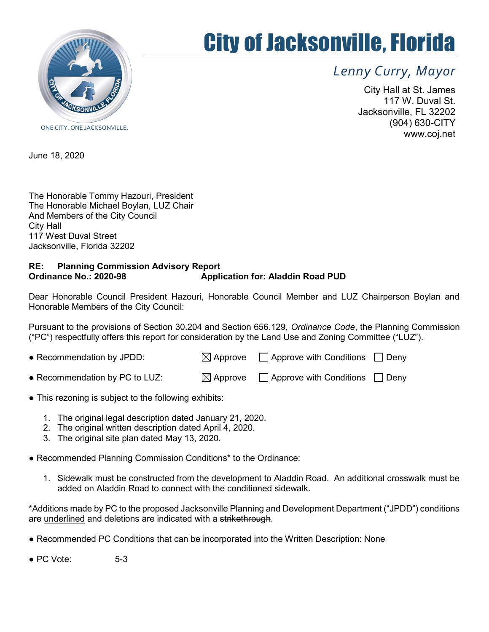

## City of Jacksonville, Florida

Lenny Curry, Mayor

City Hall at St. James 117 W. Duval St. Jacksonville, FL 32202 (904) 630-CITY www.coj.net

ONE CITY. ONE JACKSONVILLE.

June 18, 2020

The Honorable Tommy Hazouri, President The Honorable Michael Boylan, LUZ Chair And Members of the City Council City Hall 117 West Duval Street Jacksonville, Florida 32202

## RE: Planning Commission Advisory Report Application for: Aladdin Road PUD

Dear Honorable Council President Hazouri, Honorable Council Member and LUZ Chairperson Boylan and Honorable Members of the City Council:

Pursuant to the provisions of Section 30.204 and Section 656.129, Ordinance Code, the Planning Commission ("PC") respectfully offers this report for consideration by the Land Use and Zoning Committee ("LUZ").

| • Recommendation by JPDD:      | $\boxtimes$ Approve $\Box$ Approve with Conditions $\Box$ Deny |  |
|--------------------------------|----------------------------------------------------------------|--|
| • Recommendation by PC to LUZ: | $\boxtimes$ Approve $\Box$ Approve with Conditions $\Box$ Deny |  |

- This rezoning is subject to the following exhibits:
	- 1. The original legal description dated January 21, 2020.
	- 2. The original written description dated April 4, 2020.
	- 3. The original site plan dated May 13, 2020.
- Recommended Planning Commission Conditions\* to the Ordinance:
	- 1. Sidewalk must be constructed from the development to Aladdin Road. An additional crosswalk must be added on Aladdin Road to connect with the conditioned sidewalk.

\*Additions made by PC to the proposed Jacksonville Planning and Development Department ("JPDD") conditions are underlined and deletions are indicated with a strikethrough.

● Recommended PC Conditions that can be incorporated into the Written Description: None

 $\bullet$  PC Vote:  $5-3$